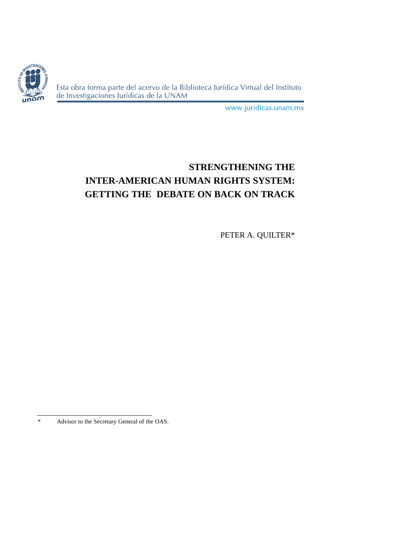

Esta obra forma parte del acervo de la Biblioteca Jurídica Virtual del Instituto de Investigaciones Jurídicas de la UNAM

www.juridicas.unam.mx

# **STRENGTHENING THE INTER-AMERICAN HUMAN RIGHTS SYSTEM: GETTING THE DEBATE ON BACK ON TRACK**

PETER A. QUILTER\*

<sup>\*</sup> Advisor to the Secretary General of the OAS.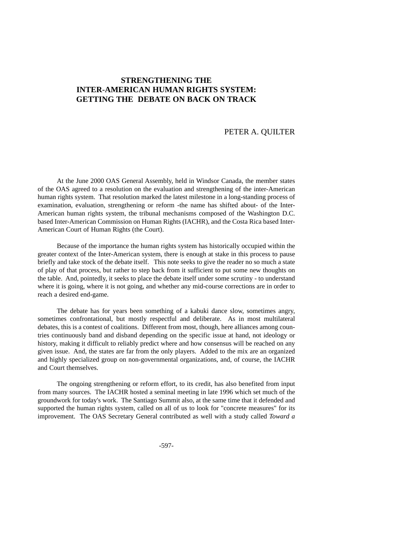## **STRENGTHENING THE INTER-AMERICAN HUMAN RIGHTS SYSTEM: GETTING THE DEBATE ON BACK ON TRACK**

## PETER A. QUILTER

At the June 2000 OAS General Assembly, held in Windsor Canada, the member states of the OAS agreed to a resolution on the evaluation and strengthening of the inter-American human rights system. That resolution marked the latest milestone in a long-standing process of examination, evaluation, strengthening or reform -the name has shifted about- of the Inter-American human rights system, the tribunal mechanisms composed of the Washington D.C. based Inter-American Commission on Human Rights (IACHR), and the Costa Rica based Inter-American Court of Human Rights (the Court).

Because of the importance the human rights system has historically occupied within the greater context of the Inter-American system, there is enough at stake in this process to pause briefly and take stock of the debate itself. This note seeks to give the reader no so much a state of play of that process, but rather to step back from it sufficient to put some new thoughts on the table. And, pointedly, it seeks to place the debate itself under some scrutiny - to understand where it is going, where it is not going, and whether any mid-course corrections are in order to reach a desired end-game.

The debate has for years been something of a kabuki dance slow, sometimes angry, sometimes confrontational, but mostly respectful and deliberate. As in most multilateral debates, this is a contest of coalitions. Different from most, though, here alliances among countries continuously band and disband depending on the specific issue at hand, not ideology or history, making it difficult to reliably predict where and how consensus will be reached on any given issue. And, the states are far from the only players. Added to the mix are an organized and highly specialized group on non-governmental organizations, and, of course, the IACHR and Court themselves.

The ongoing strengthening or reform effort, to its credit, has also benefited from input from many sources. The IACHR hosted a seminal meeting in late 1996 which set much of the groundwork for today's work. The Santiago Summit also, at the same time that it defended and supported the human rights system, called on all of us to look for "concrete measures" for its improvement. The OAS Secretary General contributed as well with a study called *Toward a*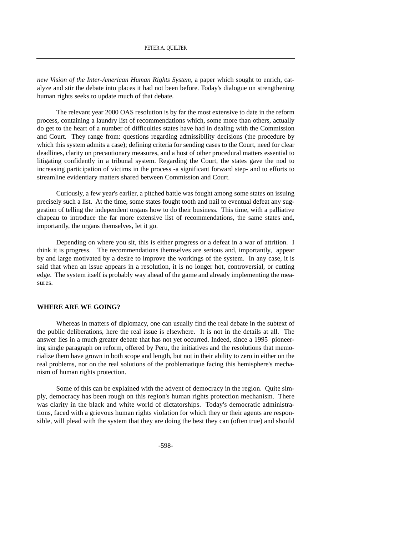*new Vision of the Inter-American Human Rights System*, a paper which sought to enrich, catalyze and stir the debate into places it had not been before. Today's dialogue on strengthening human rights seeks to update much of that debate.

The relevant year 2000 OAS resolution is by far the most extensive to date in the reform process, containing a laundry list of recommendations which, some more than others, actually do get to the heart of a number of difficulties states have had in dealing with the Commission and Court. They range from: questions regarding admissibility decisions (the procedure by which this system admits a case); defining criteria for sending cases to the Court, need for clear deadlines, clarity on precautionary measures, and a host of other procedural matters essential to litigating confidently in a tribunal system. Regarding the Court, the states gave the nod to increasing participation of victims in the process -a significant forward step- and to efforts to streamline evidentiary matters shared between Commission and Court.

Curiously, a few year's earlier, a pitched battle was fought among some states on issuing precisely such a list. At the time, some states fought tooth and nail to eventual defeat any suggestion of telling the independent organs how to do their business. This time, with a palliative chapeau to introduce the far more extensive list of recommendations, the same states and, importantly, the organs themselves, let it go.

Depending on where you sit, this is either progress or a defeat in a war of attrition. I think it is progress. The recommendations themselves are serious and, importantly, appear by and large motivated by a desire to improve the workings of the system. In any case, it is said that when an issue appears in a resolution, it is no longer hot, controversial, or cutting edge. The system itself is probably way ahead of the game and already implementing the measures.

#### **WHERE ARE WE GOING?**

Whereas in matters of diplomacy, one can usually find the real debate in the subtext of the public deliberations, here the real issue is elsewhere. It is not in the details at all. The answer lies in a much greater debate that has not yet occurred. Indeed, since a 1995 pioneering single paragraph on reform, offered by Peru, the initiatives and the resolutions that memorialize them have grown in both scope and length, but not in their ability to zero in either on the real problems, nor on the real solutions of the problematique facing this hemisphere's mechanism of human rights protection.

Some of this can be explained with the advent of democracy in the region. Quite simply, democracy has been rough on this region's human rights protection mechanism. There was clarity in the black and white world of dictatorships. Today's democratic administrations, faced with a grievous human rights violation for which they or their agents are responsible, will plead with the system that they are doing the best they can (often true) and should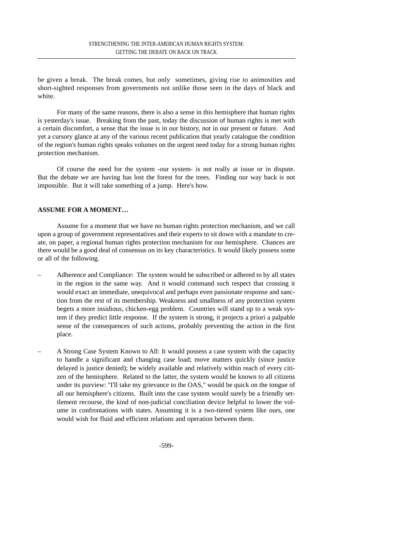be given a break. The break comes, but only sometimes, giving rise to animosities and short-sighted responses from governments not unlike those seen in the days of black and white.

For many of the same reasons, there is also a sense in this hemisphere that human rights is yesterday's issue. Breaking from the past, today the discussion of human rights is met with a certain discomfort, a sense that the issue is in our history, not in our present or future. And yet a cursory glance at any of the various recent publication that yearly catalogue the condition of the region's human rights speaks volumes on the urgent need today for a strong human rights protection mechanism.

Of course the need for the system -our system- is not really at issue or in dispute. But the debate we are having has lost the forest for the trees. Finding our way back is not impossible. But it will take something of a jump. Here's how.

### **ASSUME FOR A MOMENT…**

Assume for a moment that we have no human rights protection mechanism, and we call upon a group of government representatives and their experts to sit down with a mandate to create, on paper, a regional human rights protection mechanism for our hemisphere. Chances are there would be a good deal of consensus on its key characteristics. It would likely possess some or all of the following.

- Adherence and Compliance: The system would be subscribed or adhered to by all states in the region in the same way. And it would command such respect that crossing it would exact an immediate, unequivocal and perhaps even passionate response and sanction from the rest of its membership. Weakness and smallness of any protection system begets a more insidious, chicken-egg problem. Countries will stand up to a weak system if they predict little response. If the system is strong, it projects a priori a palpable sense of the consequences of such actions, probably preventing the action in the first place.
- A Strong Case System Known to All: It would possess a case system with the capacity to handle a significant and changing case load; move matters quickly (since justice delayed is justice denied); be widely available and relatively within reach of every citizen of the hemisphere. Related to the latter, the system would be known to all citizens under its purview: "I'll take my grievance to the OAS," would be quick on the tongue of all our hemisphere's citizens. Built into the case system would surely be a friendly settlement recourse, the kind of non-judicial conciliation device helpful to lower the volume in confrontations with states. Assuming it is a two-tiered system like ours, one would wish for fluid and efficient relations and operation between them.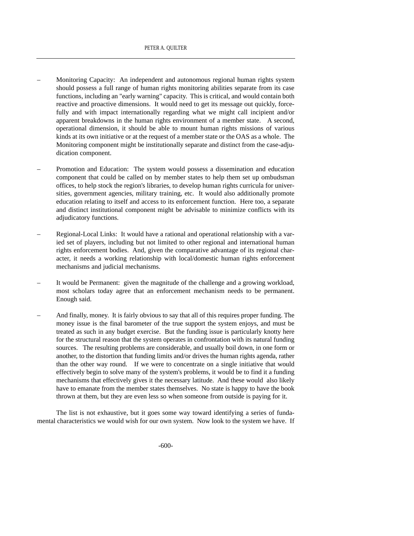- Monitoring Capacity: An independent and autonomous regional human rights system should possess a full range of human rights monitoring abilities separate from its case functions, including an "early warning" capacity. This is critical, and would contain both reactive and proactive dimensions. It would need to get its message out quickly, forcefully and with impact internationally regarding what we might call incipient and/or apparent breakdowns in the human rights environment of a member state. A second, operational dimension, it should be able to mount human rights missions of various kinds at its own initiative or at the request of a member state or the OAS as a whole. The Monitoring component might be institutionally separate and distinct from the case-adjudication component.
- Promotion and Education: The system would possess a dissemination and education component that could be called on by member states to help them set up ombudsman offices, to help stock the region's libraries, to develop human rights curricula for universities, government agencies, military training, etc. It would also additionally promote education relating to itself and access to its enforcement function. Here too, a separate and distinct institutional component might be advisable to minimize conflicts with its adjudicatory functions.
- Regional-Local Links: It would have a rational and operational relationship with a varied set of players, including but not limited to other regional and international human rights enforcement bodies. And, given the comparative advantage of its regional character, it needs a working relationship with local/domestic human rights enforcement mechanisms and judicial mechanisms.
- It would be Permanent: given the magnitude of the challenge and a growing workload, most scholars today agree that an enforcement mechanism needs to be permanent. Enough said.
- And finally, money. It is fairly obvious to say that all of this requires proper funding. The money issue is the final barometer of the true support the system enjoys, and must be treated as such in any budget exercise. But the funding issue is particularly knotty here for the structural reason that the system operates in confrontation with its natural funding sources. The resulting problems are considerable, and usually boil down, in one form or another, to the distortion that funding limits and/or drives the human rights agenda, rather than the other way round. If we were to concentrate on a single initiative that would effectively begin to solve many of the system's problems, it would be to find it a funding mechanisms that effectively gives it the necessary latitude. And these would also likely have to emanate from the member states themselves. No state is happy to have the book thrown at them, but they are even less so when someone from outside is paying for it.

The list is not exhaustive, but it goes some way toward identifying a series of fundamental characteristics we would wish for our own system. Now look to the system we have. If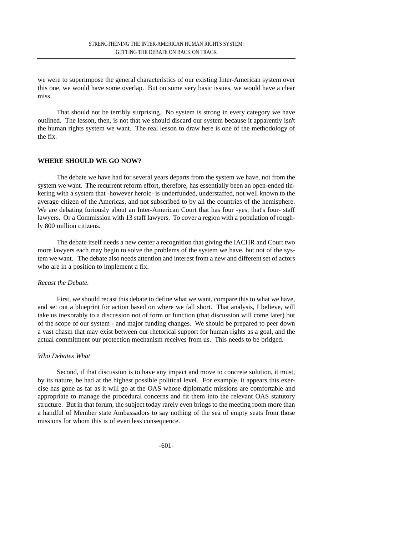we were to superimpose the general characteristics of our existing Inter-American system over this one, we would have some overlap. But on some very basic issues, we would have a clear miss.

That should not be terribly surprising. No system is strong in every category we have outlined. The lesson, then, is not that we should discard our system because it apparently isn't the human rights system we want. The real lesson to draw here is one of the methodology of the fix.

#### **WHERE SHOULD WE GO NOW?**

The debate we have had for several years departs from the system we have, not from the system we want. The recurrent reform effort, therefore, has essentially been an open-ended tinkering with a system that -however heroic- is underfunded, understaffed, not well known to the average citizen of the Americas, and not subscribed to by all the countries of the hemisphere. We are debating furiously about an Inter-American Court that has four -yes, that's four- staff lawyers. Or a Commission with 13 staff lawyers. To cover a region with a population of roughly 800 million citizens.

The debate itself needs a new center a recognition that giving the IACHR and Court two more lawyers each may begin to solve the problems of the system we have, but not of the system we want. The debate also needs attention and interest from a new and different set of actors who are in a position to implement a fix.

#### *Recast the Debate.*

First, we should recast this debate to define what we want, compare this to what we have, and set out a blueprint for action based on where we fall short. That analysis, I believe, will take us inexorably to a discussion not of form or function (that discussion will come later) but of the scope of our system - and major funding changes. We should be prepared to peer down a vast chasm that may exist between our rhetorical support for human rights as a goal, and the actual commitment our protection mechanism receives from us. This needs to be bridged.

#### *Who Debates What*

Second, if that discussion is to have any impact and move to concrete solution, it must, by its nature, be had at the highest possible political level. For example, it appears this exercise has gone as far as it will go at the OAS whose diplomatic missions are comfortable and appropriate to manage the procedural concerns and fit them into the relevant OAS statutory structure. But in that forum, the subject today rarely even brings to the meeting room more than a handful of Member state Ambassadors to say nothing of the sea of empty seats from those missions for whom this is of even less consequence.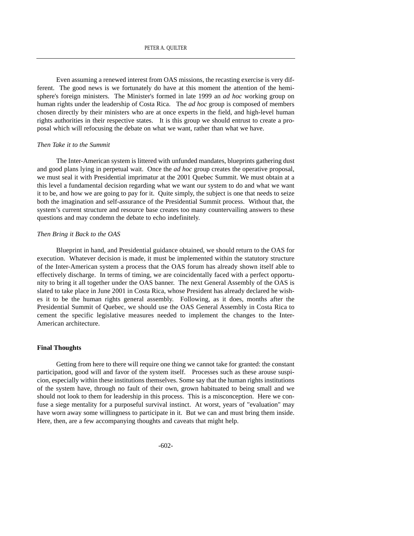Even assuming a renewed interest from OAS missions, the recasting exercise is very different. The good news is we fortunately do have at this moment the attention of the hemisphere's foreign ministers. The Minister's formed in late 1999 an *ad hoc* working group on human rights under the leadership of Costa Rica. The *ad hoc* group is composed of members chosen directly by their ministers who are at once experts in the field, and high-level human rights authorities in their respective states. It is this group we should entrust to create a proposal which will refocusing the debate on what we want, rather than what we have.

#### *Then Take it to the Summit*

The Inter-American system is littered with unfunded mandates, blueprints gathering dust and good plans lying in perpetual wait. Once the *ad hoc* group creates the operative proposal, we must seal it with Presidential imprimatur at the 2001 Quebec Summit. We must obtain at a this level a fundamental decision regarding what we want our system to do and what we want it to be, and how we are going to pay for it. Quite simply, the subject is one that needs to seize both the imagination and self-assurance of the Presidential Summit process. Without that, the system's current structure and resource base creates too many countervailing answers to these questions and may condemn the debate to echo indefinitely.

#### *Then Bring it Back to the OAS*

Blueprint in hand, and Presidential guidance obtained, we should return to the OAS for execution. Whatever decision is made, it must be implemented within the statutory structure of the Inter-American system a process that the OAS forum has already shown itself able to effectively discharge. In terms of timing, we are coincidentally faced with a perfect opportunity to bring it all together under the OAS banner. The next General Assembly of the OAS is slated to take place in June 2001 in Costa Rica, whose President has already declared he wishes it to be the human rights general assembly. Following, as it does, months after the Presidential Summit of Quebec, we should use the OAS General Assembly in Costa Rica to cement the specific legislative measures needed to implement the changes to the Inter-American architecture.

#### **Final Thoughts**

Getting from here to there will require one thing we cannot take for granted: the constant participation, good will and favor of the system itself. Processes such as these arouse suspicion, especially within these institutions themselves. Some say that the human rights institutions of the system have, through no fault of their own, grown habituated to being small and we should not look to them for leadership in this process. This is a misconception. Here we confuse a siege mentality for a purposeful survival instinct. At worst, years of "evaluation" may have worn away some willingness to participate in it. But we can and must bring them inside. Here, then, are a few accompanying thoughts and caveats that might help.